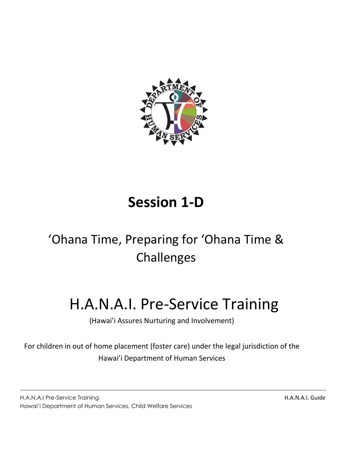

# **Session 1-D**

# 'Ohana Time, Preparing for 'Ohana Time & Challenges

# H.A.N.A.I. Pre-Service Training

(Hawai'i Assures Nurturing and Involvement)

For children in out of home placement (foster care) under the legal jurisdiction of the Hawai'i Department of Human Services

H.A.N.A.I Pre-Service Training and the state of the state of the state of the H.A.N.A.I. Guide H.A.N.A.I. Guide Hawai'i Department of Human Services, Child Welfare Services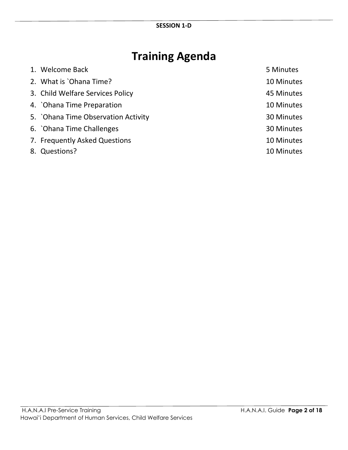# **Training Agenda**

| 1. Welcome Back                    | 5 Minutes  |
|------------------------------------|------------|
| 2. What is `Ohana Time?            | 10 Minutes |
| 3. Child Welfare Services Policy   | 45 Minutes |
| 4. Ohana Time Preparation          | 10 Minutes |
| 5. Ohana Time Observation Activity | 30 Minutes |
| 6. Ohana Time Challenges           | 30 Minutes |
| 7. Frequently Asked Questions      | 10 Minutes |
| 8. Questions?                      | 10 Minutes |
|                                    |            |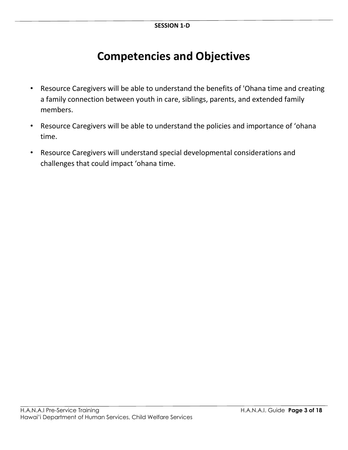### **Competencies and Objectives**

- Resource Caregivers will be able to understand the benefits of 'Ohana time and creating a family connection between youth in care, siblings, parents, and extended family members.
- Resource Caregivers will be able to understand the policies and importance of 'ohana time.
- Resource Caregivers will understand special developmental considerations and challenges that could impact 'ohana time.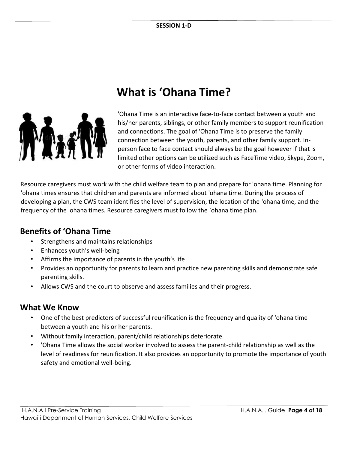

### **What is 'Ohana Time?**

'Ohana Time is an interactive face-to-face contact between a youth and his/her parents, siblings, or other family members to support reunification and connections. The goal of 'Ohana Time is to preserve the family connection between the youth, parents, and other family support. Inperson face to face contact should always be the goal however if that is limited other options can be utilized such as FaceTime video, Skype, Zoom, or other forms of video interaction.

Resource caregivers must work with the child welfare team to plan and prepare for 'ohana time. Planning for 'ohana times ensures that children and parents are informed about 'ohana time. During the process of developing a plan, the CWS team identifies the level of supervision, the location of the 'ohana time, and the frequency of the 'ohana times. Resource caregivers must follow the `ohana time plan.

### **Benefits of 'Ohana Time**

- Strengthens and maintains relationships
- Enhances youth's well-being
- Affirms the importance of parents in the youth's life
- Provides an opportunity for parents to learn and practice new parenting skills and demonstrate safe parenting skills.
- Allows CWS and the court to observe and assess families and their progress.

### **What We Know**

- One of the best predictors of successful reunification is the frequency and quality of 'ohana time between a youth and his or her parents.
- Without family interaction, parent/child relationships deteriorate.
- 'Ohana Time allows the social worker involved to assess the parent-child relationship as well as the level of readiness for reunification. It also provides an opportunity to promote the importance of youth safety and emotional well-being.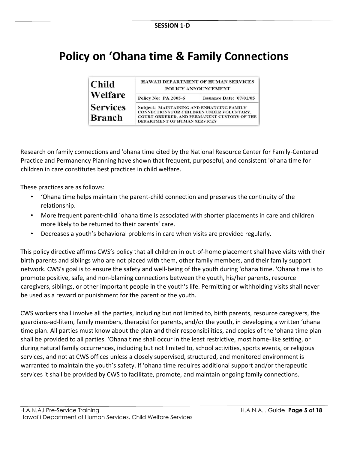### **Policy on 'Ohana time & Family Connections**

| Child                            | HAWAII DEPARTMENT OF HUMAN SERVICES<br>POLICY ANNOUNCEMENT                                                                                                            |                         |  |  |  |
|----------------------------------|-----------------------------------------------------------------------------------------------------------------------------------------------------------------------|-------------------------|--|--|--|
| Welfare                          | <b>Policy No: PA 2005-6</b>                                                                                                                                           | Issuance Date: 07/01/05 |  |  |  |
| <b>Services</b><br><b>Branch</b> | Subject: MAINTAINING AND ENHANCING FAMILY<br>CONNECTIONS FOR CHILDREN UNDER VOLUNTARY.<br>COURT-ORDERED, AND PERMANENT CUSTODY OF THE<br>DEPARTMENT OF HUMAN SERVICES |                         |  |  |  |

Research on family connections and 'ohana time cited by the National Resource Center for Family-Centered Practice and Permanency Planning have shown that frequent, purposeful, and consistent 'ohana time for children in care constitutes best practices in child welfare.

These practices are as follows:

- 'Ohana time helps maintain the parent-child connection and preserves the continuity of the relationship.
- More frequent parent-child `ohana time is associated with shorter placements in care and children more likely to be returned to their parents' care.
- Decreases a youth's behavioral problems in care when visits are provided regularly.

This policy directive affirms CWS's policy that all children in out-of-home placement shall have visits with their birth parents and siblings who are not placed with them, other family members, and their family support network. CWS's goal is to ensure the safety and well-being of the youth during 'ohana time. 'Ohana time is to promote positive, safe, and non-blaming connections between the youth, his/her parents, resource caregivers, siblings, or other important people in the youth's life. Permitting or withholding visits shall never be used as a reward or punishment for the parent or the youth.

CWS workers shall involve all the parties, including but not limited to, birth parents, resource caregivers, the guardians-ad-litem, family members, therapist for parents, and/or the youth, in developing a written 'ohana time plan. All parties must know about the plan and their responsibilities, and copies of the 'ohana time plan shall be provided to all parties. 'Ohana time shall occur in the least restrictive, most home-like setting, or during natural family occurrences, including but not limited to, school activities, sports events, or religious services, and not at CWS offices unless a closely supervised, structured, and monitored environment is warranted to maintain the youth's safety. If 'ohana time requires additional support and/or therapeutic services it shall be provided by CWS to facilitate, promote, and maintain ongoing family connections.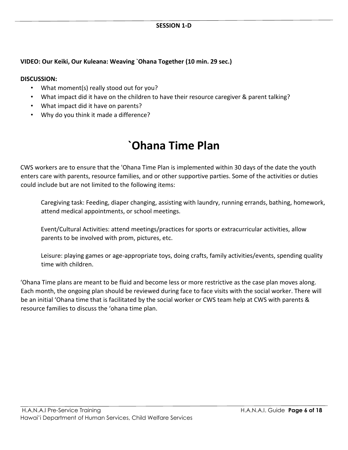#### **VIDEO: Our Keiki, Our Kuleana: Weaving `Ohana Together (10 min. 29 sec.)**

#### **DISCUSSION:**

- What moment(s) really stood out for you?
- What impact did it have on the children to have their resource caregiver & parent talking?
- What impact did it have on parents?
- Why do you think it made a difference?

### **`Ohana Time Plan**

CWS workers are to ensure that the 'Ohana Time Plan is implemented within 30 days of the date the youth enters care with parents, resource families, and or other supportive parties. Some of the activities or duties could include but are not limited to the following items:

Caregiving task: Feeding, diaper changing, assisting with laundry, running errands, bathing, homework, attend medical appointments, or school meetings.

Event/Cultural Activities: attend meetings/practices for sports or extracurricular activities, allow parents to be involved with prom, pictures, etc.

Leisure: playing games or age-appropriate toys, doing crafts, family activities/events, spending quality time with children.

'Ohana Time plans are meant to be fluid and become less or more restrictive as the case plan moves along. Each month, the ongoing plan should be reviewed during face to face visits with the social worker. There will be an initial 'Ohana time that is facilitated by the social worker or CWS team help at CWS with parents & resource families to discuss the 'ohana time plan.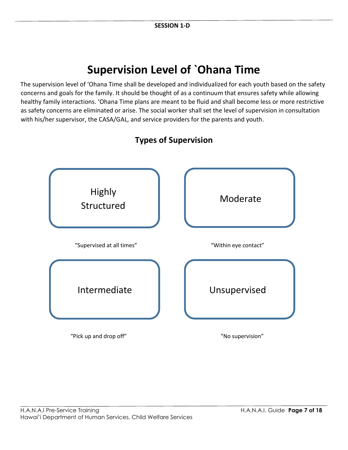### **Supervision Level of `Ohana Time**

The supervision level of 'Ohana Time shall be developed and individualized for each youth based on the safety concerns and goals for the family. It should be thought of as a continuum that ensures safety while allowing healthy family interactions. 'Ohana Time plans are meant to be fluid and shall become less or more restrictive as safety concerns are eliminated or arise. The social worker shall set the level of supervision in consultation with his/her supervisor, the CASA/GAL, and service providers for the parents and youth.



### **Types of Supervision**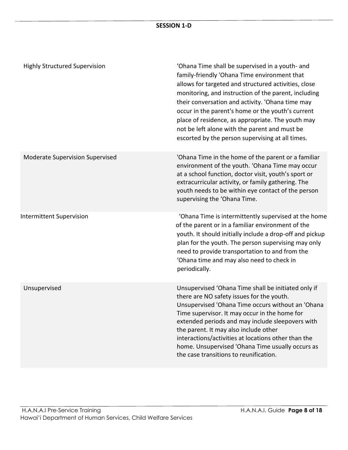#### **SESSION 1-D**

| <b>Highly Structured Supervision</b> | 'Ohana Time shall be supervised in a youth- and<br>family-friendly 'Ohana Time environment that<br>allows for targeted and structured activities, close<br>monitoring, and instruction of the parent, including<br>their conversation and activity. 'Ohana time may<br>occur in the parent's home or the youth's current<br>place of residence, as appropriate. The youth may<br>not be left alone with the parent and must be<br>escorted by the person supervising at all times. |
|--------------------------------------|------------------------------------------------------------------------------------------------------------------------------------------------------------------------------------------------------------------------------------------------------------------------------------------------------------------------------------------------------------------------------------------------------------------------------------------------------------------------------------|
| Moderate Supervision Supervised      | 'Ohana Time in the home of the parent or a familiar<br>environment of the youth. 'Ohana Time may occur<br>at a school function, doctor visit, youth's sport or<br>extracurricular activity, or family gathering. The<br>youth needs to be within eye contact of the person<br>supervising the 'Ohana Time.                                                                                                                                                                         |
| <b>Intermittent Supervision</b>      | 'Ohana Time is intermittently supervised at the home<br>of the parent or in a familiar environment of the<br>youth. It should initially include a drop-off and pickup<br>plan for the youth. The person supervising may only<br>need to provide transportation to and from the<br>'Ohana time and may also need to check in<br>periodically.                                                                                                                                       |
| Unsupervised                         | Unsupervised 'Ohana Time shall be initiated only if<br>there are NO safety issues for the youth.<br>Unsupervised 'Ohana Time occurs without an 'Ohana<br>Time supervisor. It may occur in the home for<br>extended periods and may include sleepovers with<br>the parent. It may also include other<br>interactions/activities at locations other than the<br>home. Unsupervised 'Ohana Time usually occurs as<br>the case transitions to reunification.                           |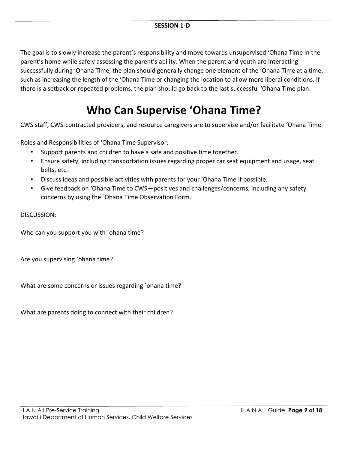The goal is to slowly increase the parent's responsibility and move towards unsupervised 'Ohana Time in the parent's home while safely assessing the parent's ability. When the parent and youth are interacting successfully during 'Ohana Time, the plan should generally change one element of the 'Ohana Time at a time, such as increasing the length of the 'Ohana Time or changing the location to allow more liberal conditions. If there is a setback or repeated problems, the plan should go back to the last successful 'Ohana Time plan.

### **Who Can Supervise 'Ohana Time?**

CWS staff, CWS-contracted providers, and resource caregivers are to supervise and/or facilitate 'Ohana Time.

Roles and Responsibilities of 'Ohana Time Supervisor:

- Support parents and children to have a safe and positive time together.
- Ensure safety, including transportation issues regarding proper car seat equipment and usage, seat belts, etc.
- Discuss ideas and possible activities with parents for your 'Ohana Time if possible.
- Give feedback on 'Ohana Time to CWS—positives and challenges/concerns, including any safety concerns by using the `Ohana Time Observation Form.

DISCUSSION:

Who can you support you with `ohana time?

Are you supervising `ohana time?

What are some concerns or issues regarding `ohana time?

What are parents doing to connect with their children?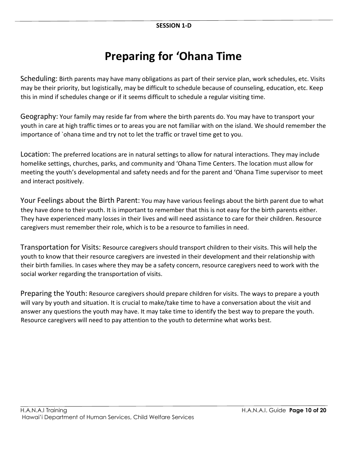### **Preparing for 'Ohana Time**

Scheduling: Birth parents may have many obligations as part of their service plan, work schedules, etc. Visits may be their priority, but logistically, may be difficult to schedule because of counseling, education, etc. Keep this in mind if schedules change or if it seems difficult to schedule a regular visiting time.

Geography: Your family may reside far from where the birth parents do. You may have to transport your youth in care at high traffic times or to areas you are not familiar with on the island. We should remember the importance of `ohana time and try not to let the traffic or travel time get to you.

Location: The preferred locations are in natural settings to allow for natural interactions. They may include homelike settings, churches, parks, and community and 'Ohana Time Centers. The location must allow for meeting the youth's developmental and safety needs and for the parent and 'Ohana Time supervisor to meet and interact positively.

Your Feelings about the Birth Parent: You may have various feelings about the birth parent due to what they have done to their youth. It is important to remember that this is not easy for the birth parents either. They have experienced many losses in their lives and will need assistance to care for their children. Resource caregivers must remember their role, which is to be a resource to families in need.

Transportation for Visits: Resource caregivers should transport children to their visits. This will help the youth to know that their resource caregivers are invested in their development and their relationship with their birth families. In cases where they may be a safety concern, resource caregivers need to work with the social worker regarding the transportation of visits.

Preparing the Youth: Resource caregivers should prepare children for visits. The ways to prepare a youth will vary by youth and situation. It is crucial to make/take time to have a conversation about the visit and answer any questions the youth may have. It may take time to identify the best way to prepare the youth. Resource caregivers will need to pay attention to the youth to determine what works best.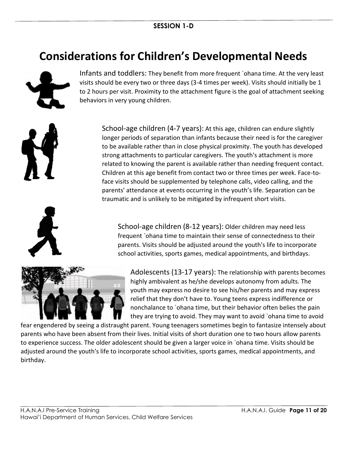### **Considerations for Children's Developmental Needs**



Infants and toddlers: They benefit from more frequent `ohana time. At the very least visits should be every two or three days (3-4 times per week). Visits should initially be 1 to 2 hours per visit. Proximity to the attachment figure is the goal of attachment seeking behaviors in very young children.

School-age children (4-7 years): At this age, children can endure slightly longer periods of separation than infants because their need is for the caregiver to be available rather than in close physical proximity. The youth has developed strong attachments to particular caregivers. The youth's attachment is more related to knowing the parent is available rather than needing frequent contact. Children at this age benefit from contact two or three times per week. Face-toface visits should be supplemented by telephone calls, video calling, and the parents' attendance at events occurring in the youth's life. Separation can be traumatic and is unlikely to be mitigated by infrequent short visits.

School-age children (8-12 years): Older children may need less frequent `ohana time to maintain their sense of connectedness to their parents. Visits should be adjusted around the youth's life to incorporate school activities, sports games, medical appointments, and birthdays.



Adolescents (13-17 years): The relationship with parents becomes highly ambivalent as he/she develops autonomy from adults. The youth may express no desire to see his/her parents and may express relief that they don't have to. Young teens express indifference or nonchalance to `ohana time, but their behavior often belies the pain they are trying to avoid. They may want to avoid `ohana time to avoid

fear engendered by seeing a distraught parent. Young teenagers sometimes begin to fantasize intensely about parents who have been absent from their lives. Initial visits of short duration one to two hours allow parents to experience success. The older adolescent should be given a larger voice in `ohana time. Visits should be adjusted around the youth's life to incorporate school activities, sports games, medical appointments, and birthday.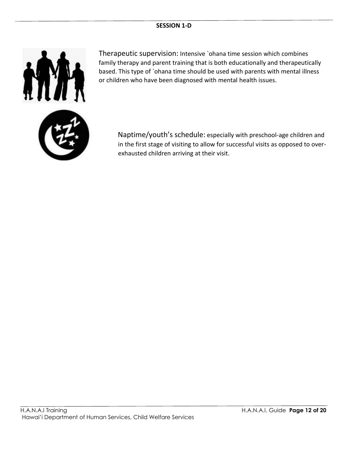#### **SESSION 1-D**



Therapeutic supervision: Intensive `ohana time session which combines family therapy and parent training that is both educationally and therapeutically based. This type of `ohana time should be used with parents with mental illness or children who have been diagnosed with mental health issues.

Naptime/youth's schedule: especially with preschool-age children and in the first stage of visiting to allow for successful visits as opposed to overexhausted children arriving at their visit.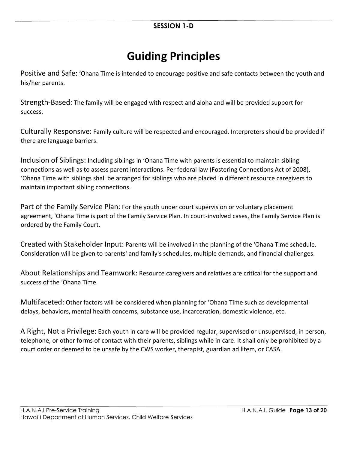# **Guiding Principles**

Positive and Safe: 'Ohana Time is intended to encourage positive and safe contacts between the youth and his/her parents.

Strength-Based: The family will be engaged with respect and aloha and will be provided support for success.

Culturally Responsive: Family culture will be respected and encouraged. Interpreters should be provided if there are language barriers.

Inclusion of Siblings: Including siblings in 'Ohana Time with parents is essential to maintain sibling connections as well as to assess parent interactions. Per federal law (Fostering Connections Act of 2008), 'Ohana Time with siblings shall be arranged for siblings who are placed in different resource caregivers to maintain important sibling connections.

Part of the Family Service Plan: For the youth under court supervision or voluntary placement agreement, 'Ohana Time is part of the Family Service Plan. In court-involved cases, the Family Service Plan is ordered by the Family Court.

Created with Stakeholder Input: Parents will be involved in the planning of the 'Ohana Time schedule. Consideration will be given to parents' and family's schedules, multiple demands, and financial challenges.

About Relationships and Teamwork: Resource caregivers and relatives are critical for the support and success of the 'Ohana Time.

Multifaceted: Other factors will be considered when planning for 'Ohana Time such as developmental delays, behaviors, mental health concerns, substance use, incarceration, domestic violence, etc.

A Right, Not a Privilege: Each youth in care will be provided regular, supervised or unsupervised, in person, telephone, or other forms of contact with their parents, siblings while in care. It shall only be prohibited by a court order or deemed to be unsafe by the CWS worker, therapist, guardian ad litem, or CASA.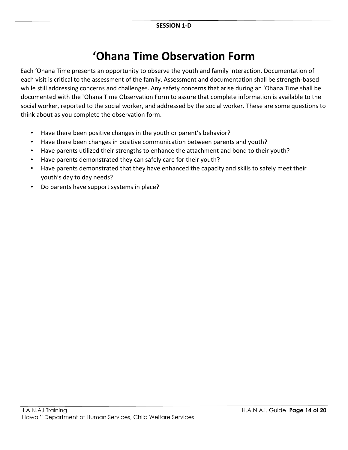### **'Ohana Time Observation Form**

Each 'Ohana Time presents an opportunity to observe the youth and family interaction. Documentation of each visit is critical to the assessment of the family. Assessment and documentation shall be strength-based while still addressing concerns and challenges. Any safety concerns that arise during an 'Ohana Time shall be documented with the `Ohana Time Observation Form to assure that complete information is available to the social worker, reported to the social worker, and addressed by the social worker. These are some questions to think about as you complete the observation form.

- Have there been positive changes in the youth or parent's behavior?
- Have there been changes in positive communication between parents and youth?
- Have parents utilized their strengths to enhance the attachment and bond to their youth?
- Have parents demonstrated they can safely care for their youth?
- Have parents demonstrated that they have enhanced the capacity and skills to safely meet their youth's day to day needs?
- Do parents have support systems in place?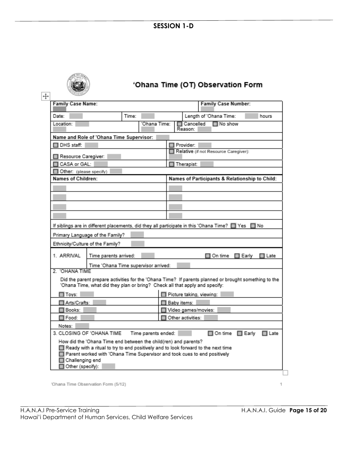#### **SESSION 1-D**



### 'Ohana Time (OT) Observation Form

 $\boxed{+}$ 

| <b>Family Case Name:</b><br><b>Family Case Number:</b>                                                                                                                                                                                                                        |       |              |                     |                          |                                                |                 |        |
|-------------------------------------------------------------------------------------------------------------------------------------------------------------------------------------------------------------------------------------------------------------------------------|-------|--------------|---------------------|--------------------------|------------------------------------------------|-----------------|--------|
| Date:                                                                                                                                                                                                                                                                         | Time: |              |                     |                          | Length of 'Ohana Time:                         |                 | hours  |
| Location:                                                                                                                                                                                                                                                                     |       | 'Ohana Time: |                     | □ Cancelled<br>Reason:   | $\square$ No show                              |                 |        |
| Name and Role of 'Ohana Time Supervisor:                                                                                                                                                                                                                                      |       |              |                     |                          |                                                |                 |        |
| DHS staff:                                                                                                                                                                                                                                                                    |       |              | Provider:           |                          |                                                |                 |        |
| Resource Caregiver:                                                                                                                                                                                                                                                           |       |              |                     |                          | Relative (if not Resource Caregiver):          |                 |        |
| CASA or GAL:                                                                                                                                                                                                                                                                  |       |              |                     | Therapist:               |                                                |                 |        |
| Other: (please specify)                                                                                                                                                                                                                                                       |       |              |                     |                          |                                                |                 |        |
| Names of Children:                                                                                                                                                                                                                                                            |       |              |                     |                          | Names of Participants & Relationship to Child: |                 |        |
|                                                                                                                                                                                                                                                                               |       |              |                     |                          |                                                |                 |        |
|                                                                                                                                                                                                                                                                               |       |              |                     |                          |                                                |                 |        |
|                                                                                                                                                                                                                                                                               |       |              |                     |                          |                                                |                 |        |
|                                                                                                                                                                                                                                                                               |       |              |                     |                          |                                                |                 |        |
|                                                                                                                                                                                                                                                                               |       |              |                     |                          |                                                |                 |        |
| If siblings are in different placements, did they all participate in this 'Ohana Time? [3] Yes                                                                                                                                                                                |       |              |                     |                          |                                                | ⊟ No            |        |
| Primary Language of the Family?                                                                                                                                                                                                                                               |       |              |                     |                          |                                                |                 |        |
| Ethnicity/Culture of the Family?                                                                                                                                                                                                                                              |       |              |                     |                          |                                                |                 |        |
| 1. ARRIVAL<br>Time parents arrived:                                                                                                                                                                                                                                           |       |              |                     |                          | On time                                        | $\square$ Early | ∏ Late |
| Time 'Ohana Time supervisor arrived:                                                                                                                                                                                                                                          |       |              |                     |                          |                                                |                 |        |
| 2. 'OHANA TIME                                                                                                                                                                                                                                                                |       |              |                     |                          |                                                |                 |        |
| Did the parent prepare activities for the 'Ohana Time? If parents planned or brought something to the<br>'Ohana Time, what did they plan or bring? Check all that apply and specify:                                                                                          |       |              |                     |                          |                                                |                 |        |
| $\Box$ Toys:                                                                                                                                                                                                                                                                  |       |              |                     | Picture taking, viewing: |                                                |                 |        |
| Arts/Crafts:                                                                                                                                                                                                                                                                  |       |              | Baby items:         |                          |                                                |                 |        |
| Books:                                                                                                                                                                                                                                                                        |       |              | Video games/movies: |                          |                                                |                 |        |
| □ Food:                                                                                                                                                                                                                                                                       |       |              | Other activities:   |                          |                                                |                 |        |
| Notes:                                                                                                                                                                                                                                                                        |       |              |                     |                          |                                                |                 |        |
| 3. CLOSING OF 'OHANA TIME<br>□ On time<br>Time parents ended:<br>$\Box$ Early<br>$\Box$ Late                                                                                                                                                                                  |       |              |                     |                          |                                                |                 |        |
| How did the 'Ohana Time end between the child(ren) and parents?<br>Ready with a ritual to try to end positively and to look forward to the next time<br>Parent worked with 'Ohana Time Supervisor and took cues to end positively<br>⊓<br>Challenging end<br>Other (specify): |       |              |                     |                          |                                                |                 |        |

'Ohana Time Observation Form (5/12)

1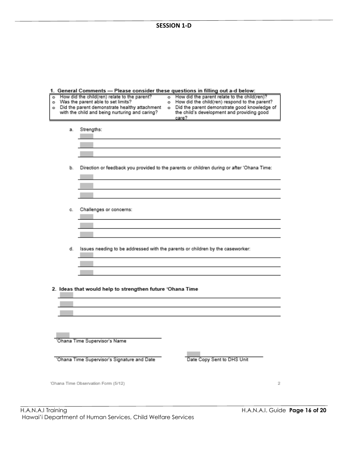|  | 1. General Comments - Please consider these questions in filling out a-d below: |  |  |  |  |  |
|--|---------------------------------------------------------------------------------|--|--|--|--|--|
|--|---------------------------------------------------------------------------------|--|--|--|--|--|

|    | Oeneral Comments — Flease consider these questions in millig out a dibelow.<br>How did the child(ren) relate to the parent?<br>o Was the parent able to set limits?<br>o Did the parent demonstrate healthy attachment<br>with the child and being nurturing and caring? | o How did the parent relate to the child(ren)?<br>o How did the child(ren) respond to the parent?<br>o Did the parent demonstrate good knowledge of<br>the child's development and providing good<br>care? |
|----|--------------------------------------------------------------------------------------------------------------------------------------------------------------------------------------------------------------------------------------------------------------------------|------------------------------------------------------------------------------------------------------------------------------------------------------------------------------------------------------------|
|    | a. Strengths:                                                                                                                                                                                                                                                            |                                                                                                                                                                                                            |
|    |                                                                                                                                                                                                                                                                          | b. Direction or feedback you provided to the parents or children during or after 'Ohana Time:                                                                                                              |
| C. | Challenges or concerns:                                                                                                                                                                                                                                                  |                                                                                                                                                                                                            |
|    | d. Issues needing to be addressed with the parents or children by the caseworker:                                                                                                                                                                                        |                                                                                                                                                                                                            |
|    | 2. Ideas that would help to strengthen future 'Ohana Time                                                                                                                                                                                                                |                                                                                                                                                                                                            |
|    |                                                                                                                                                                                                                                                                          |                                                                                                                                                                                                            |
|    | 'Ohana Time Supervisor's Name<br>'Ohana Time Supervisor's Signature and Date                                                                                                                                                                                             | Date Copy Sent to DHS Unit                                                                                                                                                                                 |
|    | 'Ohana Time Observation Form (5/12)                                                                                                                                                                                                                                      | 2                                                                                                                                                                                                          |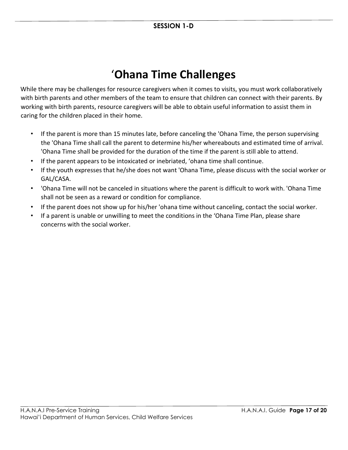# '**Ohana Time Challenges**

While there may be challenges for resource caregivers when it comes to visits, you must work collaboratively with birth parents and other members of the team to ensure that children can connect with their parents. By working with birth parents, resource caregivers will be able to obtain useful information to assist them in caring for the children placed in their home.

- If the parent is more than 15 minutes late, before canceling the 'Ohana Time, the person supervising the 'Ohana Time shall call the parent to determine his/her whereabouts and estimated time of arrival. 'Ohana Time shall be provided for the duration of the time if the parent is still able to attend.
- If the parent appears to be intoxicated or inebriated, 'ohana time shall continue.
- If the youth expresses that he/she does not want 'Ohana Time, please discuss with the social worker or GAL/CASA.
- 'Ohana Time will not be canceled in situations where the parent is difficult to work with. 'Ohana Time shall not be seen as a reward or condition for compliance.
- If the parent does not show up for his/her 'ohana time without canceling, contact the social worker.
- If a parent is unable or unwilling to meet the conditions in the 'Ohana Time Plan, please share concerns with the social worker.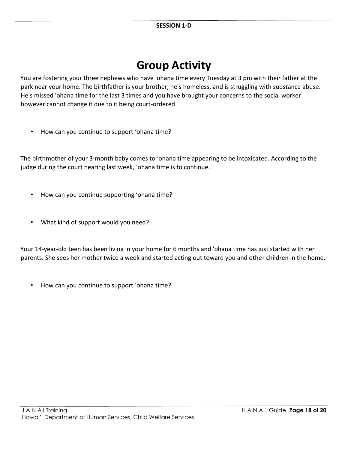### **Group Activity**

You are fostering your three nephews who have 'ohana time every Tuesday at 3 pm with their father at the park near your home. The birthfather is your brother, he's homeless, and is struggling with substance abuse. He's missed 'ohana time for the last 3 times and you have brought your concerns to the social worker however cannot change it due to it being court-ordered.

• How can you continue to support 'ohana time?

The birthmother of your 3-month baby comes to 'ohana time appearing to be intoxicated. According to the judge during the court hearing last week, 'ohana time is to continue.

- How can you continue supporting 'ohana time?
- What kind of support would you need?

Your 14-year-old teen has been living in your home for 6 months and 'ohana time has just started with her parents. She sees her mother twice a week and started acting out toward you and other children in the home.

• How can you continue to support 'ohana time?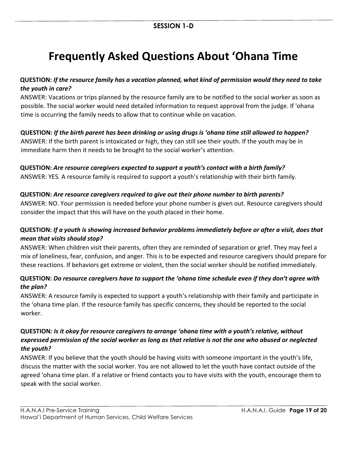# **Frequently Asked Questions About 'Ohana Time**

#### **QUESTION:** *If the resource family has a vacation planned, what kind of permission would they need to take the youth in care?*

ANSWER: Vacations or trips planned by the resource family are to be notified to the social worker as soon as possible. The social worker would need detailed information to request approval from the judge. If 'ohana time is occurring the family needs to allow that to continue while on vacation.

#### **QUESTION:** *If the birth parent has been drinking or using drugs is 'ohana time still allowed to happen?*

ANSWER: If the birth parent is intoxicated or high, they can still see their youth. If the youth may be in immediate harm then it needs to be brought to the social worker's attention.

#### **QUESTION:** *Are resource caregivers expected to support a youth's contact with a birth family?*

ANSWER: YES. A resource family is required to support a youth's relationship with their birth family.

#### **QUESTION:** *Are resource caregivers required to give out their phone number to birth parents?*

ANSWER: NO. Your permission is needed before your phone number is given out. Resource caregivers should consider the impact that this will have on the youth placed in their home.

#### **QUESTION:** *If a youth is showing increased behavior problems immediately before or after a visit, does that mean that visits should stop?*

ANSWER: When children visit their parents, often they are reminded of separation or grief. They may feel a mix of loneliness, fear, confusion, and anger. This is to be expected and resource caregivers should prepare for these reactions. If behaviors get extreme or violent, then the social worker should be notified immediately.

#### **QUESTION:** *Do resource caregivers have to support the 'ohana time schedule even if they don't agree with the plan?*

ANSWER: A resource family is expected to support a youth's relationship with their family and participate in the 'ohana time plan. If the resource family has specific concerns, they should be reported to the social worker.

#### **QUESTION***: Is it okay for resource caregivers to arrange 'ohana time with a youth's relative, without expressed permission of the social worker as long as that relative is not the one who abused or neglected the youth?*

ANSWER: If you believe that the youth should be having visits with someone important in the youth's life, discuss the matter with the social worker. You are not allowed to let the youth have contact outside of the agreed 'ohana time plan. If a relative or friend contacts you to have visits with the youth, encourage them to speak with the social worker.